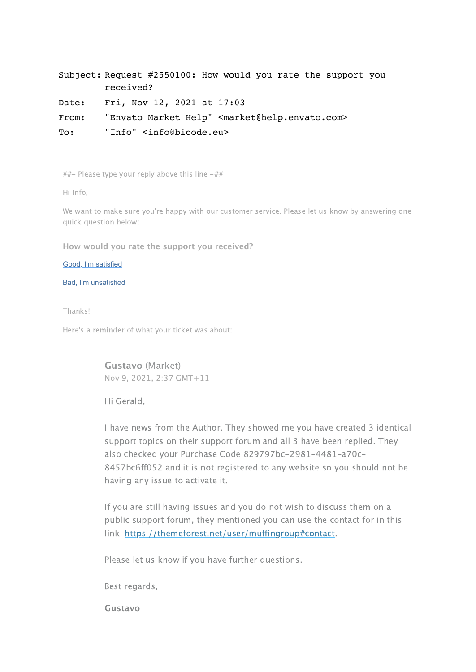Subject: Request #2550100: How would you rate the support you received?

Date: Fri, Nov 12, 2021 at 17:03

From: "Envato Market Help" <market@help.envato.com>

To: "Info" <info@bicode.eu>

 $#$  Please type your reply above this line  $-#$ 

Hi Info,

We want to make sure you're happy with our customer service. Please let us know by answering one quick question below:

**How would you rate the support you received?**

[Good, I'm satisfied](https://help.market.envato.com/requests/2550100/satisfaction/new/3EPSTLrSV4oChHRGnfsKNb1Tx?locale=1&intention=16)

[Bad, I'm unsatisfied](https://help.market.envato.com/requests/2550100/satisfaction/new/3EPSTLrSV4oChHRGnfsKNb1Tx?locale=1&intention=4)

Thanks!

Here's a reminder of what your ticket was about:

**Gustavo** (Market) Nov 9, 2021, 2:37 GMT+11

Hi Gerald,

I have news from the Author. They showed me you have created 3 identical support topics on their support forum and all 3 have been replied. They also checked your Purchase Code 829797bc-2981-4481-a70c-8457bc6ff052 and it is not registered to any website so you should not be having any issue to activate it.

If you are still having issues and you do not wish to discuss them on a public support forum, they mentioned you can use the contact for in this link: <https://themeforest.net/user/muffingroup#contact>.

Please let us know if you have further questions.

Best regards,

**Gustavo**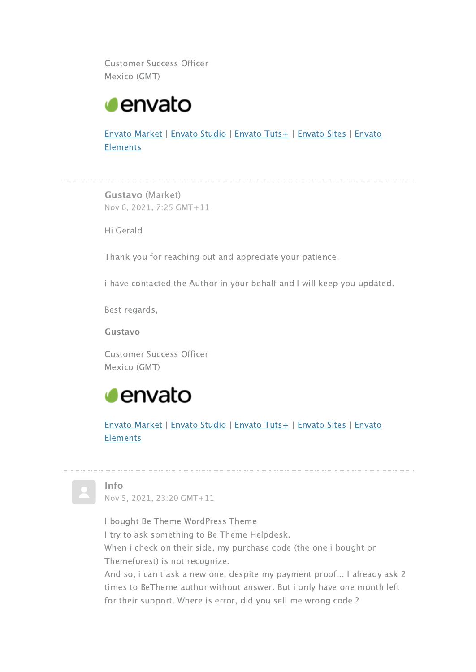Customer Success Officer Mexico (GMT)



[Envato Market | Envato Studio | Envato Tuts+ | Envato Sites | Envato](https://elements.envato.com/) Elements

**Gustavo** (Market) Nov 6, 2021, 7:25 GMT+11

Hi Gerald

Thank you for reaching out and appreciate your patience.

i have contacted the Author in your behalf and I will keep you updated.

Best regards,

**Gustavo**

Customer Success Officer Mexico (GMT)



[Envato Market | Envato Studio | Envato Tuts+ | Envato Sites | Envato](https://elements.envato.com/) **Elements** 



## **Info**

Nov 5, 2021, 23:20 GMT+11

I bought Be Theme WordPress Theme

I try to ask something to Be Theme Helpdesk.

When i check on their side, my purchase code (the one i bought on Themeforest) is not recognize.

And so, i can t ask a new one, despite my payment proof... I already ask 2 times to BeTheme author without answer. But i only have one month left for their support. Where is error, did you sell me wrong code ?